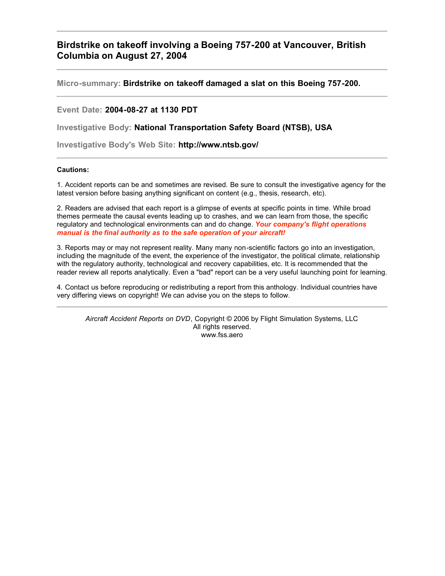## **Birdstrike on takeoff involving a Boeing 757-200 at Vancouver, British Columbia on August 27, 2004**

**Micro-summary: Birdstrike on takeoff damaged a slat on this Boeing 757-200.**

**Event Date: 2004-08-27 at 1130 PDT**

**Investigative Body: National Transportation Safety Board (NTSB), USA**

**Investigative Body's Web Site: http://www.ntsb.gov/**

## **Cautions:**

1. Accident reports can be and sometimes are revised. Be sure to consult the investigative agency for the latest version before basing anything significant on content (e.g., thesis, research, etc).

2. Readers are advised that each report is a glimpse of events at specific points in time. While broad themes permeate the causal events leading up to crashes, and we can learn from those, the specific regulatory and technological environments can and do change. *Your company's flight operations manual is the final authority as to the safe operation of your aircraft!*

3. Reports may or may not represent reality. Many many non-scientific factors go into an investigation, including the magnitude of the event, the experience of the investigator, the political climate, relationship with the regulatory authority, technological and recovery capabilities, etc. It is recommended that the reader review all reports analytically. Even a "bad" report can be a very useful launching point for learning.

4. Contact us before reproducing or redistributing a report from this anthology. Individual countries have very differing views on copyright! We can advise you on the steps to follow.

*Aircraft Accident Reports on DVD*, Copyright © 2006 by Flight Simulation Systems, LLC All rights reserved. www.fss.aero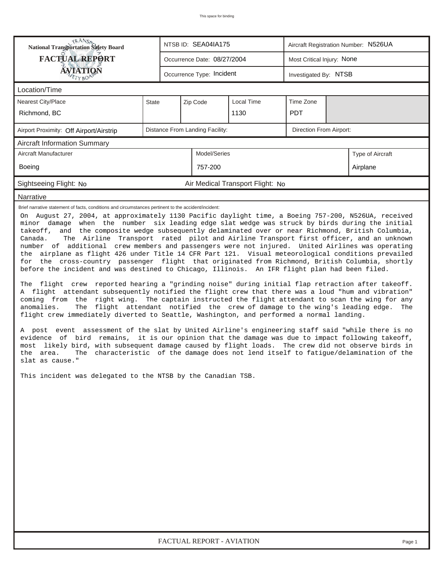| <b>National Transportation Safety Board</b>                                                                                                                                                                                                                                                                                                                                                                                                                                                                                                                                                                                                                                                                                                                                                                                                                                                                                                                                                                                                                                                                                                                                                                                                                                                                                                                                                                                                                                                                                                                                                                                                                                                                                                                                                                                                                                                                                                                   |                                 |  | NTSB ID: SEA04IA175         |                                  | Aircraft Registration Number: N526UA |          |                  |  |  |  |
|---------------------------------------------------------------------------------------------------------------------------------------------------------------------------------------------------------------------------------------------------------------------------------------------------------------------------------------------------------------------------------------------------------------------------------------------------------------------------------------------------------------------------------------------------------------------------------------------------------------------------------------------------------------------------------------------------------------------------------------------------------------------------------------------------------------------------------------------------------------------------------------------------------------------------------------------------------------------------------------------------------------------------------------------------------------------------------------------------------------------------------------------------------------------------------------------------------------------------------------------------------------------------------------------------------------------------------------------------------------------------------------------------------------------------------------------------------------------------------------------------------------------------------------------------------------------------------------------------------------------------------------------------------------------------------------------------------------------------------------------------------------------------------------------------------------------------------------------------------------------------------------------------------------------------------------------------------------|---------------------------------|--|-----------------------------|----------------------------------|--------------------------------------|----------|------------------|--|--|--|
| <b>FACTUAL REPORT</b>                                                                                                                                                                                                                                                                                                                                                                                                                                                                                                                                                                                                                                                                                                                                                                                                                                                                                                                                                                                                                                                                                                                                                                                                                                                                                                                                                                                                                                                                                                                                                                                                                                                                                                                                                                                                                                                                                                                                         |                                 |  | Occurrence Date: 08/27/2004 |                                  | Most Critical Injury: None           |          |                  |  |  |  |
| <b>ÁVIATION</b><br>ETYBOP                                                                                                                                                                                                                                                                                                                                                                                                                                                                                                                                                                                                                                                                                                                                                                                                                                                                                                                                                                                                                                                                                                                                                                                                                                                                                                                                                                                                                                                                                                                                                                                                                                                                                                                                                                                                                                                                                                                                     |                                 |  | Occurrence Type: Incident   | Investigated By: NTSB            |                                      |          |                  |  |  |  |
| Location/Time                                                                                                                                                                                                                                                                                                                                                                                                                                                                                                                                                                                                                                                                                                                                                                                                                                                                                                                                                                                                                                                                                                                                                                                                                                                                                                                                                                                                                                                                                                                                                                                                                                                                                                                                                                                                                                                                                                                                                 |                                 |  |                             |                                  |                                      |          |                  |  |  |  |
| Nearest City/Place                                                                                                                                                                                                                                                                                                                                                                                                                                                                                                                                                                                                                                                                                                                                                                                                                                                                                                                                                                                                                                                                                                                                                                                                                                                                                                                                                                                                                                                                                                                                                                                                                                                                                                                                                                                                                                                                                                                                            | State                           |  | Zip Code<br>Local Time      |                                  | Time Zone                            |          |                  |  |  |  |
| Richmond, BC                                                                                                                                                                                                                                                                                                                                                                                                                                                                                                                                                                                                                                                                                                                                                                                                                                                                                                                                                                                                                                                                                                                                                                                                                                                                                                                                                                                                                                                                                                                                                                                                                                                                                                                                                                                                                                                                                                                                                  |                                 |  |                             | 1130                             | <b>PDT</b>                           |          |                  |  |  |  |
| Airport Proximity: Off Airport/Airstrip                                                                                                                                                                                                                                                                                                                                                                                                                                                                                                                                                                                                                                                                                                                                                                                                                                                                                                                                                                                                                                                                                                                                                                                                                                                                                                                                                                                                                                                                                                                                                                                                                                                                                                                                                                                                                                                                                                                       | Distance From Landing Facility: |  |                             |                                  |                                      |          |                  |  |  |  |
| <b>Aircraft Information Summary</b>                                                                                                                                                                                                                                                                                                                                                                                                                                                                                                                                                                                                                                                                                                                                                                                                                                                                                                                                                                                                                                                                                                                                                                                                                                                                                                                                                                                                                                                                                                                                                                                                                                                                                                                                                                                                                                                                                                                           |                                 |  |                             |                                  |                                      |          |                  |  |  |  |
| Aircraft Manufacturer                                                                                                                                                                                                                                                                                                                                                                                                                                                                                                                                                                                                                                                                                                                                                                                                                                                                                                                                                                                                                                                                                                                                                                                                                                                                                                                                                                                                                                                                                                                                                                                                                                                                                                                                                                                                                                                                                                                                         |                                 |  | Model/Series                |                                  |                                      |          | Type of Aircraft |  |  |  |
| Boeing                                                                                                                                                                                                                                                                                                                                                                                                                                                                                                                                                                                                                                                                                                                                                                                                                                                                                                                                                                                                                                                                                                                                                                                                                                                                                                                                                                                                                                                                                                                                                                                                                                                                                                                                                                                                                                                                                                                                                        |                                 |  | 757-200                     |                                  |                                      | Airplane |                  |  |  |  |
| Sightseeing Flight: No                                                                                                                                                                                                                                                                                                                                                                                                                                                                                                                                                                                                                                                                                                                                                                                                                                                                                                                                                                                                                                                                                                                                                                                                                                                                                                                                                                                                                                                                                                                                                                                                                                                                                                                                                                                                                                                                                                                                        |                                 |  |                             | Air Medical Transport Flight: No |                                      |          |                  |  |  |  |
| Narrative                                                                                                                                                                                                                                                                                                                                                                                                                                                                                                                                                                                                                                                                                                                                                                                                                                                                                                                                                                                                                                                                                                                                                                                                                                                                                                                                                                                                                                                                                                                                                                                                                                                                                                                                                                                                                                                                                                                                                     |                                 |  |                             |                                  |                                      |          |                  |  |  |  |
| Brief narrative statement of facts, conditions and circumstances pertinent to the accident/incident:<br>On August 27, 2004, at approximately 1130 Pacific daylight time, a Boeing 757-200, N526UA, received<br>minor damage when the number six leading edge slat wedge was struck by birds during the initial<br>takeoff, and the composite wedge subsequently delaminated over or near Richmond, British Columbia,<br>The Airline Transport rated pilot and Airline Transport first officer, and an unknown<br>Canada.<br>number of additional crew members and passengers were not injured. United Airlines was operating<br>the airplane as flight 426 under Title 14 CFR Part 121. Visual meteorological conditions prevailed<br>for the cross-country passenger flight that originated from Richmond, British Columbia, shortly<br>before the incident and was destined to Chicago, Illinois. An IFR flight plan had been filed.<br>The flight crew reported hearing a "grinding noise" during initial flap retraction after takeoff.<br>A flight attendant subsequently notified the flight crew that there was a loud "hum and vibration"<br>coming from the right wing. The captain instructed the flight attendant to scan the wing for any<br>The flight attendant notified the crew of damage to the wing's leading edge.<br>anomalies.<br>The<br>flight crew immediately diverted to Seattle, Washington, and performed a normal landing.<br>A post event assessment of the slat by United Airline's engineering staff said "while there is no<br>evidence of bird remains, it is our opinion that the damage was due to impact following takeoff,<br>most likely bird, with subsequent damage caused by flight loads. The crew did not observe birds in<br>The characteristic of the damage does not lend itself to fatigue/delamination of the<br>the area.<br>slat as cause."<br>This incident was delegated to the NTSB by the Canadian TSB. |                                 |  |                             |                                  |                                      |          |                  |  |  |  |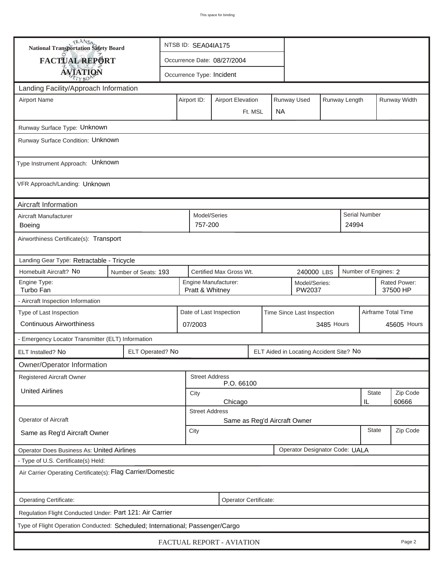| <b>National Transportation Safety Board</b>                                                                     |                                                             |                                                                         | NTSB ID: SEA04IA175         |            |  |  |                              |              |                          |                     |                   |  |
|-----------------------------------------------------------------------------------------------------------------|-------------------------------------------------------------|-------------------------------------------------------------------------|-----------------------------|------------|--|--|------------------------------|--------------|--------------------------|---------------------|-------------------|--|
| <b>FACTUAL REPORT</b>                                                                                           |                                                             |                                                                         | Occurrence Date: 08/27/2004 |            |  |  |                              |              |                          |                     |                   |  |
| <b>AVIATION</b>                                                                                                 |                                                             |                                                                         | Occurrence Type: Incident   |            |  |  |                              |              |                          |                     |                   |  |
| Landing Facility/Approach Information                                                                           |                                                             |                                                                         |                             |            |  |  |                              |              |                          |                     |                   |  |
| <b>Airport Name</b>                                                                                             |                                                             | Runway Used<br>Runway Length<br>Airport ID:<br><b>Airport Elevation</b> |                             |            |  |  |                              |              |                          | Runway Width        |                   |  |
|                                                                                                                 |                                                             | <b>NA</b><br>Ft. MSL                                                    |                             |            |  |  |                              |              |                          |                     |                   |  |
| Runway Surface Type: Unknown                                                                                    |                                                             |                                                                         |                             |            |  |  |                              |              |                          |                     |                   |  |
| Runway Surface Condition: Unknown                                                                               |                                                             |                                                                         |                             |            |  |  |                              |              |                          |                     |                   |  |
| Type Instrument Approach: Unknown                                                                               |                                                             |                                                                         |                             |            |  |  |                              |              |                          |                     |                   |  |
| VFR Approach/Landing: Unknown                                                                                   |                                                             |                                                                         |                             |            |  |  |                              |              |                          |                     |                   |  |
| Aircraft Information                                                                                            |                                                             |                                                                         |                             |            |  |  |                              |              |                          |                     |                   |  |
| Aircraft Manufacturer<br><b>Boeing</b>                                                                          |                                                             |                                                                         | Model/Series<br>757-200     |            |  |  |                              |              | 24994                    | Serial Number       |                   |  |
| Airworthiness Certificate(s): Transport                                                                         |                                                             |                                                                         |                             |            |  |  |                              |              |                          |                     |                   |  |
| Landing Gear Type: Retractable - Tricycle                                                                       |                                                             |                                                                         |                             |            |  |  |                              |              |                          |                     |                   |  |
| Homebuilt Aircraft? No<br>Certified Max Gross Wt.<br>Number of Engines: 2<br>Number of Seats: 193<br>240000 LBS |                                                             |                                                                         |                             |            |  |  |                              |              |                          |                     |                   |  |
| Engine Type:<br>Turbo Fan                                                                                       |                                                             | Engine Manufacturer:<br>Model/Series:<br>PW2037<br>Pratt & Whitney      |                             |            |  |  |                              |              | Rated Power:<br>37500 HP |                     |                   |  |
| - Aircraft Inspection Information                                                                               |                                                             |                                                                         |                             |            |  |  |                              |              |                          |                     |                   |  |
| Type of Last Inspection                                                                                         |                                                             | Date of Last Inspection<br>Time Since Last Inspection                   |                             |            |  |  |                              |              |                          | Airframe Total Time |                   |  |
| <b>Continuous Airworthiness</b>                                                                                 |                                                             |                                                                         | 07/2003                     |            |  |  |                              | 3485 Hours   | 45605 Hours              |                     |                   |  |
| - Emergency Locator Transmitter (ELT) Information                                                               |                                                             |                                                                         |                             |            |  |  |                              |              |                          |                     |                   |  |
| ELT Installed? No                                                                                               | ELT Operated? No<br>ELT Aided in Locating Accident Site? No |                                                                         |                             |            |  |  |                              |              |                          |                     |                   |  |
| Owner/Operator Information                                                                                      |                                                             |                                                                         |                             |            |  |  |                              |              |                          |                     |                   |  |
| <b>Registered Aircraft Owner</b>                                                                                |                                                             |                                                                         | <b>Street Address</b>       | P.O. 66100 |  |  |                              |              |                          |                     |                   |  |
| <b>United Airlines</b>                                                                                          |                                                             | City<br>Chicago                                                         |                             |            |  |  |                              |              |                          | <b>State</b><br>IL  | Zip Code<br>60666 |  |
|                                                                                                                 |                                                             |                                                                         | <b>Street Address</b>       |            |  |  |                              |              |                          |                     |                   |  |
| Operator of Aircraft                                                                                            |                                                             |                                                                         |                             |            |  |  | Same as Reg'd Aircraft Owner |              |                          |                     |                   |  |
| Same as Reg'd Aircraft Owner                                                                                    |                                                             | City                                                                    |                             |            |  |  |                              | <b>State</b> | Zip Code                 |                     |                   |  |
| <b>Operator Designator Code: UALA</b><br><b>Operator Does Business As: United Airlines</b>                      |                                                             |                                                                         |                             |            |  |  |                              |              |                          |                     |                   |  |
| - Type of U.S. Certificate(s) Held:                                                                             |                                                             |                                                                         |                             |            |  |  |                              |              |                          |                     |                   |  |
| Air Carrier Operating Certificate(s): Flag Carrier/Domestic                                                     |                                                             |                                                                         |                             |            |  |  |                              |              |                          |                     |                   |  |
| Operating Certificate:<br>Operator Certificate:                                                                 |                                                             |                                                                         |                             |            |  |  |                              |              |                          |                     |                   |  |
| Regulation Flight Conducted Under: Part 121: Air Carrier                                                        |                                                             |                                                                         |                             |            |  |  |                              |              |                          |                     |                   |  |
| Type of Flight Operation Conducted: Scheduled; International; Passenger/Cargo                                   |                                                             |                                                                         |                             |            |  |  |                              |              |                          |                     |                   |  |
| FACTUAL REPORT - AVIATION<br>Page 2                                                                             |                                                             |                                                                         |                             |            |  |  |                              |              |                          |                     |                   |  |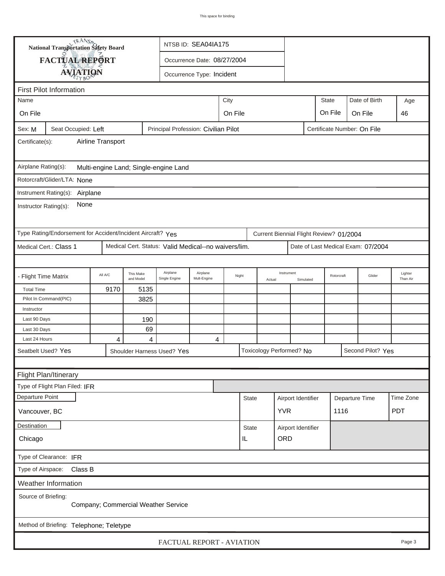| TRANSA<br>NTSB ID: SEA04IA175<br><b>National Transportation Safety Board</b> |                                                             |         |                        |                                                      |                           |  |              |        |                          |                    |                                         |                |                                    |                     |
|------------------------------------------------------------------------------|-------------------------------------------------------------|---------|------------------------|------------------------------------------------------|---------------------------|--|--------------|--------|--------------------------|--------------------|-----------------------------------------|----------------|------------------------------------|---------------------|
|                                                                              | <b>FACTUAL REPORT</b>                                       |         |                        | Occurrence Date: 08/27/2004                          |                           |  |              |        |                          |                    |                                         |                |                                    |                     |
|                                                                              |                                                             |         |                        |                                                      | Occurrence Type: Incident |  |              |        |                          |                    |                                         |                |                                    |                     |
|                                                                              | <b>AVIATION</b>                                             |         |                        |                                                      |                           |  |              |        |                          |                    |                                         |                |                                    |                     |
| <b>First Pilot Information</b>                                               |                                                             |         |                        |                                                      |                           |  |              |        |                          |                    |                                         |                |                                    |                     |
| City<br>Name                                                                 |                                                             |         |                        |                                                      |                           |  |              |        |                          |                    | <b>State</b>                            |                | Date of Birth                      | Age                 |
| On File                                                                      | On File<br>On File<br>On File                               |         |                        |                                                      |                           |  |              |        |                          |                    |                                         |                | 46                                 |                     |
| Sex: M                                                                       | Seat Occupied: Left                                         |         |                        | Principal Profession: Civilian Pilot                 |                           |  |              |        |                          |                    | Certificate Number: On File             |                |                                    |                     |
| Airline Transport<br>Certificate(s):                                         |                                                             |         |                        |                                                      |                           |  |              |        |                          |                    |                                         |                |                                    |                     |
| Airplane Rating(s):<br>Multi-engine Land; Single-engine Land                 |                                                             |         |                        |                                                      |                           |  |              |        |                          |                    |                                         |                |                                    |                     |
|                                                                              | Rotorcraft/Glider/LTA: None                                 |         |                        |                                                      |                           |  |              |        |                          |                    |                                         |                |                                    |                     |
|                                                                              |                                                             |         |                        |                                                      |                           |  |              |        |                          |                    |                                         |                |                                    |                     |
| Instrument Rating(s): Airplane<br>None<br>Instructor Rating(s):              |                                                             |         |                        |                                                      |                           |  |              |        |                          |                    |                                         |                |                                    |                     |
|                                                                              | Type Rating/Endorsement for Accident/Incident Aircraft? Yes |         |                        |                                                      |                           |  |              |        |                          |                    | Current Biennial Flight Review? 01/2004 |                |                                    |                     |
|                                                                              | Medical Cert.: Class 1                                      |         |                        | Medical Cert. Status: Valid Medical--no waivers/lim. |                           |  |              |        |                          |                    |                                         |                | Date of Last Medical Exam: 07/2004 |                     |
|                                                                              |                                                             |         |                        |                                                      |                           |  |              |        |                          |                    |                                         |                |                                    |                     |
| - Flight Time Matrix                                                         |                                                             | All A/C | This Make<br>and Model | Airplane<br>Single Engine                            | Airplane<br>Mult-Engine   |  | Night        | Actual | Instrument               | Simulated          | Rotorcraft                              |                | Glider                             | Lighter<br>Than Air |
| <b>Total Time</b>                                                            |                                                             | 9170    | 5135                   |                                                      |                           |  |              |        |                          |                    |                                         |                |                                    |                     |
|                                                                              | Pilot In Command(PIC)                                       |         | 3825                   |                                                      |                           |  |              |        |                          |                    |                                         |                |                                    |                     |
| Instructor                                                                   |                                                             |         |                        |                                                      |                           |  |              |        |                          |                    |                                         |                |                                    |                     |
| Last 90 Days                                                                 |                                                             |         | 190                    |                                                      |                           |  |              |        |                          |                    |                                         |                |                                    |                     |
| Last 30 Days<br>Last 24 Hours                                                |                                                             | 4       | 69<br>4                |                                                      | 4                         |  |              |        |                          |                    |                                         |                |                                    |                     |
|                                                                              | Seatbelt Used? Yes                                          |         |                        | Shoulder Harness Used? Yes                           |                           |  |              |        | Toxicology Performed? No |                    |                                         |                | Second Pilot? Yes                  |                     |
|                                                                              |                                                             |         |                        |                                                      |                           |  |              |        |                          |                    |                                         |                |                                    |                     |
| Flight Plan/Itinerary                                                        |                                                             |         |                        |                                                      |                           |  |              |        |                          |                    |                                         |                |                                    |                     |
|                                                                              | Type of Flight Plan Filed: IFR                              |         |                        |                                                      |                           |  |              |        |                          |                    |                                         |                |                                    |                     |
| Departure Point                                                              |                                                             |         |                        |                                                      |                           |  | <b>State</b> |        | Airport Identifier       |                    |                                         |                |                                    | Time Zone           |
|                                                                              |                                                             |         |                        |                                                      |                           |  |              |        |                          |                    |                                         | Departure Time |                                    |                     |
| Vancouver, BC                                                                |                                                             |         |                        |                                                      |                           |  |              |        | <b>YVR</b>               |                    | 1116                                    |                |                                    | <b>PDT</b>          |
| Destination                                                                  |                                                             |         |                        |                                                      |                           |  | <b>State</b> |        |                          | Airport Identifier |                                         |                |                                    |                     |
| ORD<br>IL<br>Chicago                                                         |                                                             |         |                        |                                                      |                           |  |              |        |                          |                    |                                         |                |                                    |                     |
| Type of Clearance: IFR                                                       |                                                             |         |                        |                                                      |                           |  |              |        |                          |                    |                                         |                |                                    |                     |
| Class B<br>Type of Airspace:                                                 |                                                             |         |                        |                                                      |                           |  |              |        |                          |                    |                                         |                |                                    |                     |
| Weather Information                                                          |                                                             |         |                        |                                                      |                           |  |              |        |                          |                    |                                         |                |                                    |                     |
| Source of Briefing:<br>Company; Commercial Weather Service                   |                                                             |         |                        |                                                      |                           |  |              |        |                          |                    |                                         |                |                                    |                     |
| Method of Briefing: Telephone; Teletype                                      |                                                             |         |                        |                                                      |                           |  |              |        |                          |                    |                                         |                |                                    |                     |
| FACTUAL REPORT - AVIATION<br>Page 3                                          |                                                             |         |                        |                                                      |                           |  |              |        |                          |                    |                                         |                |                                    |                     |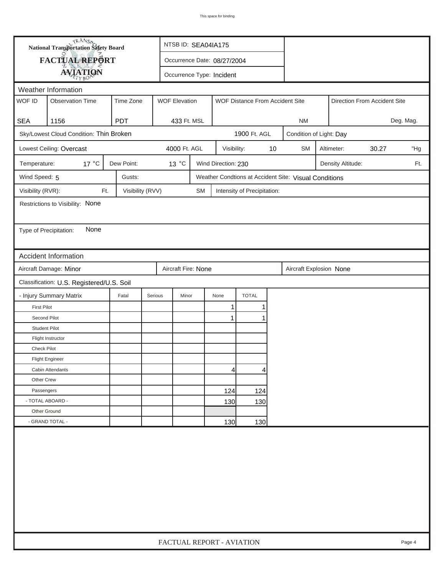| <b>National Transportation Safety Board</b><br>NTSB ID: SEA04IA175 |                                                                          |                  |                  |                                                         |                     |                             |    |                                                       |                     |                   |                              |           |  |
|--------------------------------------------------------------------|--------------------------------------------------------------------------|------------------|------------------|---------------------------------------------------------|---------------------|-----------------------------|----|-------------------------------------------------------|---------------------|-------------------|------------------------------|-----------|--|
|                                                                    | FACTUAL REPORT<br>Occurrence Date: 08/27/2004                            |                  |                  |                                                         |                     |                             |    |                                                       |                     |                   |                              |           |  |
|                                                                    | <b>AVIATION</b>                                                          |                  |                  | Occurrence Type: Incident                               |                     |                             |    |                                                       |                     |                   |                              |           |  |
|                                                                    | Weather Information                                                      |                  |                  |                                                         |                     |                             |    |                                                       |                     |                   |                              |           |  |
| WOF ID                                                             | <b>Observation Time</b>                                                  | Time Zone        |                  | <b>WOF Elevation</b><br>WOF Distance From Accident Site |                     |                             |    |                                                       |                     |                   | Direction From Accident Site |           |  |
| <b>SEA</b>                                                         | 1156                                                                     | <b>PDT</b>       | 433 Ft. MSL      |                                                         |                     |                             |    | <b>NM</b>                                             |                     |                   |                              | Deg. Mag. |  |
|                                                                    | Sky/Lowest Cloud Condition: Thin Broken                                  |                  |                  |                                                         |                     | 1900 Ft. AGL                |    | Condition of Light: Day                               |                     |                   |                              |           |  |
|                                                                    | Lowest Ceiling: Overcast                                                 |                  | 4000 Ft. AGL     |                                                         | Visibility:         |                             | 10 | <b>SM</b>                                             | 30.27<br>Altimeter: |                   |                              |           |  |
| Temperature:                                                       | $17^{\circ}$ C                                                           | Dew Point:       | $13^{\circ}$ C   |                                                         | Wind Direction: 230 |                             |    |                                                       |                     | Density Altitude: |                              | Ft.       |  |
| Wind Speed: 5                                                      |                                                                          | Gusts:           |                  |                                                         |                     |                             |    | Weather Condtions at Accident Site: Visual Conditions |                     |                   |                              |           |  |
| Visibility (RVR):                                                  | Ft.                                                                      | Visibility (RVV) |                  | <b>SM</b>                                               |                     | Intensity of Precipitation: |    |                                                       |                     |                   |                              |           |  |
|                                                                    | Restrictions to Visibility: None                                         |                  |                  |                                                         |                     |                             |    |                                                       |                     |                   |                              |           |  |
|                                                                    |                                                                          |                  |                  |                                                         |                     |                             |    |                                                       |                     |                   |                              |           |  |
| Type of Precipitation:                                             | None                                                                     |                  |                  |                                                         |                     |                             |    |                                                       |                     |                   |                              |           |  |
|                                                                    |                                                                          |                  |                  |                                                         |                     |                             |    |                                                       |                     |                   |                              |           |  |
|                                                                    | <b>Accident Information</b>                                              |                  |                  |                                                         |                     |                             |    |                                                       |                     |                   |                              |           |  |
|                                                                    | Aircraft Damage: Minor<br>Aircraft Fire: None<br>Aircraft Explosion None |                  |                  |                                                         |                     |                             |    |                                                       |                     |                   |                              |           |  |
|                                                                    | Classification: U.S. Registered/U.S. Soil                                |                  |                  |                                                         |                     |                             |    |                                                       |                     |                   |                              |           |  |
|                                                                    | - Injury Summary Matrix                                                  | Fatal            | Serious<br>Minor |                                                         | None                | <b>TOTAL</b>                |    |                                                       |                     |                   |                              |           |  |
| <b>First Pilot</b>                                                 |                                                                          |                  |                  |                                                         | 1                   |                             |    |                                                       |                     |                   |                              |           |  |
| Second Pilot                                                       |                                                                          |                  |                  |                                                         | $\mathbf{1}$        |                             |    |                                                       |                     |                   |                              |           |  |
| <b>Student Pilot</b>                                               |                                                                          |                  |                  |                                                         |                     |                             |    |                                                       |                     |                   |                              |           |  |
|                                                                    | Flight Instructor                                                        |                  |                  |                                                         |                     |                             |    |                                                       |                     |                   |                              |           |  |
| Check Pilot                                                        |                                                                          |                  |                  |                                                         |                     |                             |    |                                                       |                     |                   |                              |           |  |
|                                                                    | <b>Flight Engineer</b>                                                   |                  |                  |                                                         |                     |                             |    |                                                       |                     |                   |                              |           |  |
|                                                                    | Cabin Attendants                                                         |                  |                  |                                                         | 4                   | 4                           |    |                                                       |                     |                   |                              |           |  |
| Other Crew                                                         |                                                                          |                  |                  |                                                         |                     |                             |    |                                                       |                     |                   |                              |           |  |
| Passengers                                                         |                                                                          |                  |                  |                                                         | 124                 | 124                         |    |                                                       |                     |                   |                              |           |  |
| - TOTAL ABOARD -                                                   |                                                                          |                  |                  |                                                         | 130                 | 130                         |    |                                                       |                     |                   |                              |           |  |
| Other Ground                                                       |                                                                          |                  |                  |                                                         |                     |                             |    |                                                       |                     |                   |                              |           |  |
|                                                                    | - GRAND TOTAL -                                                          |                  |                  |                                                         | 130                 | 130                         |    |                                                       |                     |                   |                              |           |  |
|                                                                    |                                                                          |                  |                  |                                                         |                     |                             |    |                                                       |                     |                   |                              |           |  |
|                                                                    | FACTUAL REPORT - AVIATION<br>Page 4                                      |                  |                  |                                                         |                     |                             |    |                                                       |                     |                   |                              |           |  |